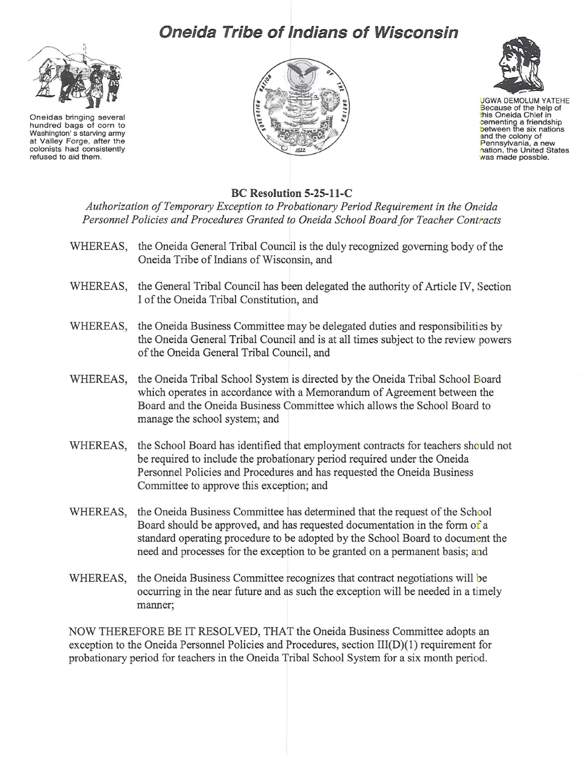## **Oneida Tribe of Indians of Wisconsin**



Oneidas bringing several hundred bags of corn to Washington's starving army at Valley Forge, after the colonists had consistently refused to aid them.





UGWA DEMOLUM YATEHE Because of the help of this Oneida Chief in cementing a friendship between the six nations and the colony of and the colony of<br>Pennsylvania, a new<br>nation, the United States<br>was made possble.

## **BC Resolution 5-25-11-C**

*Authorization of Temporary Exception to Probationary Period Requirement in the Oneida Personnel Policies and Procedures Granted to Oneida School Board for Teacher Contracts* 

- WHEREAS, the Oneida General Tribal Council is the duly recognized governing body of the Oneida Tribe of Indians of Wisconsin, and
- WHEREAS, the General Tribal Council has been delegated the authority of Article IV, Section I of the Oneida Tribal Constitution, and
- WHEREAS, the Oneida Business Committee may be delegated duties and responsibilities by the Oneida General Tribal Council and is at all times subject to the review powers of the Oneida General Tribal Council, and
- WHEREAS, the Oneida Tribal School System is directed by the Oneida Tribal School Board which operates in accordance with a Memorandum of Agreement between the Board and the Oneida Business Committee which allows the School Board to manage the school system; and
- WHEREAS, the School Board has identified that employment contracts for teachers should not be required to include the probationary period required under the Oneida Personnel Policies and Procedures and has requested the Oneida Business Committee to approve this exception; and
- WHEREAS, the Oneida Business Committee has determined that the request of the School Board should be approved, and has requested documentation in the form of a standard operating procedure to be adopted by the School Board to document the need and processes for the exception to be granted on a permanent basis; and
- WHEREAS, the Oneida Business Committee recognizes that contract negotiations will be occurring in the near future and as such the exception will be needed in a timely manner;

NOW THEREFORE BE IT RESOLVED, THAT the Oneida Business Committee adopts an exception to the Oneida Personnel Policies and Procedures, section III(D)(1) requirement for probationary period for teachers in the Oneida Tribal School System for a six month period.